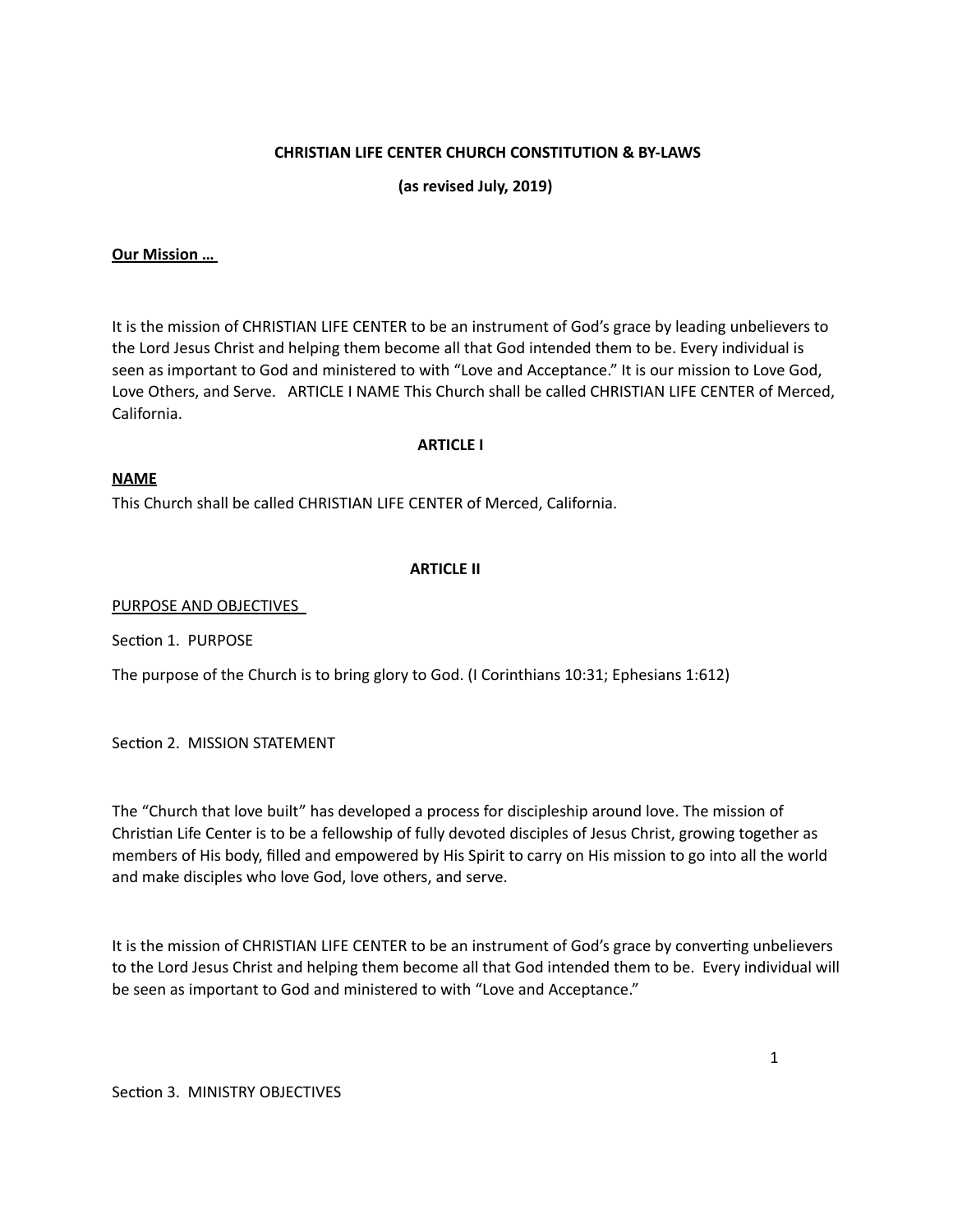## **CHRISTIAN LIFE CENTER CHURCH CONSTITUTION & BY-LAWS**

 **(as revised July, 2019)** 

### **Our Mission …**

It is the mission of CHRISTIAN LIFE CENTER to be an instrument of God's grace by leading unbelievers to the Lord Jesus Christ and helping them become all that God intended them to be. Every individual is seen as important to God and ministered to with "Love and Acceptance." It is our mission to Love God, Love Others, and Serve. ARTICLE I NAME This Church shall be called CHRISTIAN LIFE CENTER of Merced, California. 

#### **ARTICLE I**

#### **NAME**

This Church shall be called CHRISTIAN LIFE CENTER of Merced, California.

#### **ARTICLE II**

PURPOSE AND OBJECTIVES

Section 1. PURPOSE

The purpose of the Church is to bring glory to God. (I Corinthians  $10:31$ ; Ephesians  $1:612$ )

Section 2. MISSION STATEMENT

The "Church that love built" has developed a process for discipleship around love. The mission of Christian Life Center is to be a fellowship of fully devoted disciples of Jesus Christ, growing together as members of His body, filled and empowered by His Spirit to carry on His mission to go into all the world and make disciples who love God, love others, and serve.

It is the mission of CHRISTIAN LIFE CENTER to be an instrument of God's grace by converting unbelievers to the Lord Jesus Christ and helping them become all that God intended them to be. Every individual will be seen as important to God and ministered to with "Love and Acceptance."

Section 3. MINISTRY OBJECTIVES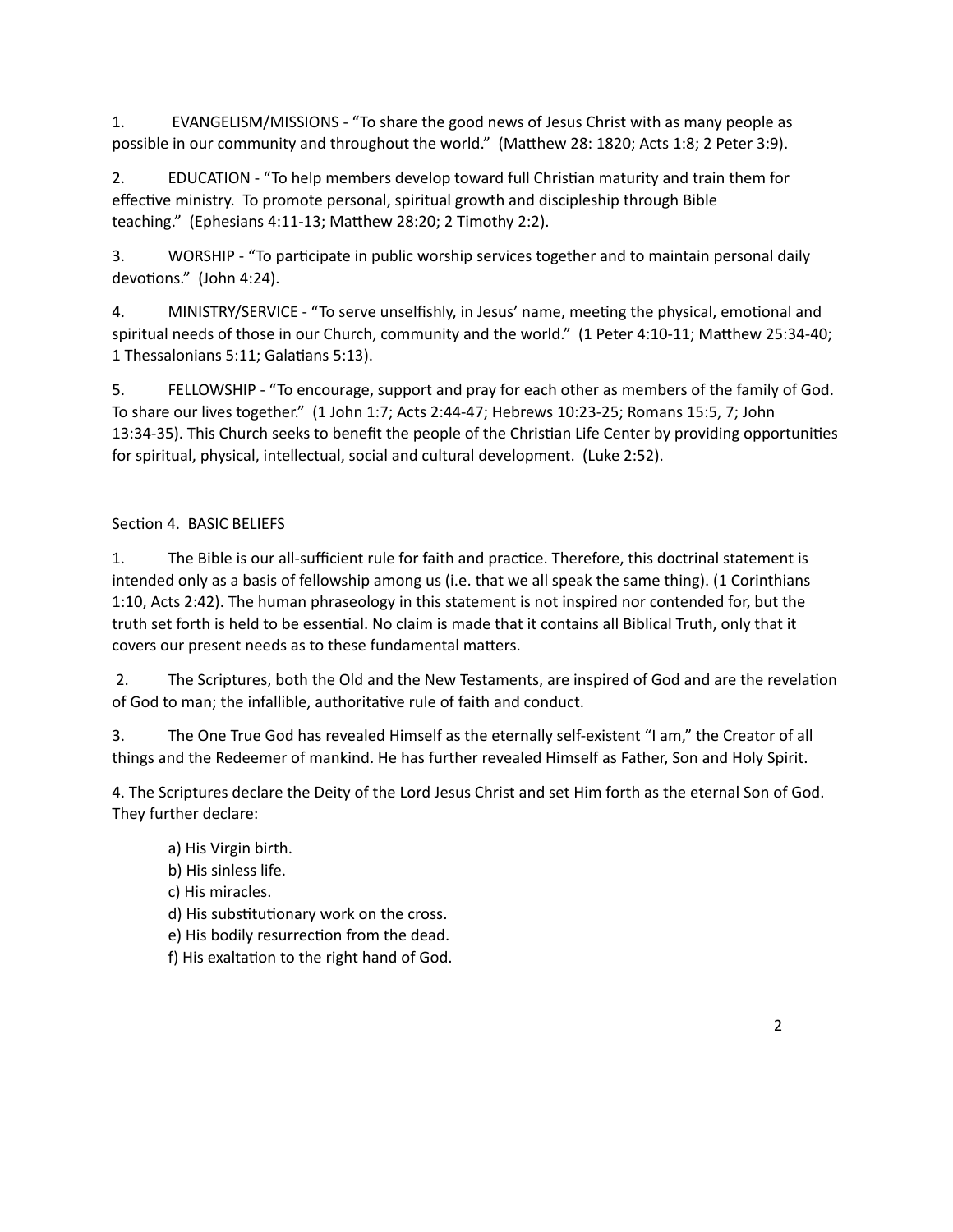1. EVANGELISM/MISSIONS - "To share the good news of Jesus Christ with as many people as possible in our community and throughout the world." (Matthew 28: 1820; Acts 1:8; 2 Peter 3:9).

2. EDUCATION - "To help members develop toward full Christian maturity and train them for effective ministry. To promote personal, spiritual growth and discipleship through Bible teaching." (Ephesians 4:11-13; Matthew 28:20; 2 Timothy 2:2).

3. WORSHIP - "To participate in public worship services together and to maintain personal daily devotions." (John 4:24).

4. MINISTRY/SERVICE - "To serve unselfishly, in Jesus' name, meeting the physical, emotional and spiritual needs of those in our Church, community and the world." (1 Peter 4:10-11; Matthew 25:34-40; 1 Thessalonians 5:11; Galatians 5:13).

5. FELLOWSHIP - "To encourage, support and pray for each other as members of the family of God. To share our lives together." (1 John 1:7; Acts 2:44-47; Hebrews 10:23-25; Romans 15:5, 7; John 13:34-35). This Church seeks to benefit the people of the Christian Life Center by providing opportunities for spiritual, physical, intellectual, social and cultural development. (Luke 2:52).

# Section 4. BASIC BELIEFS

1. The Bible is our all-sufficient rule for faith and practice. Therefore, this doctrinal statement is intended only as a basis of fellowship among us (i.e. that we all speak the same thing). (1 Corinthians 1:10, Acts 2:42). The human phraseology in this statement is not inspired nor contended for, but the truth set forth is held to be essential. No claim is made that it contains all Biblical Truth, only that it covers our present needs as to these fundamental matters.

2. The Scriptures, both the Old and the New Testaments, are inspired of God and are the revelation of God to man; the infallible, authoritative rule of faith and conduct.

3. The One True God has revealed Himself as the eternally self-existent "I am," the Creator of all things and the Redeemer of mankind. He has further revealed Himself as Father, Son and Holy Spirit.

4. The Scriptures declare the Deity of the Lord Jesus Christ and set Him forth as the eternal Son of God. They further declare:

a) His Virgin birth.

b) His sinless life.

c) His miracles.

d) His substitutionary work on the cross.

- e) His bodily resurrection from the dead.
- f) His exaltation to the right hand of God.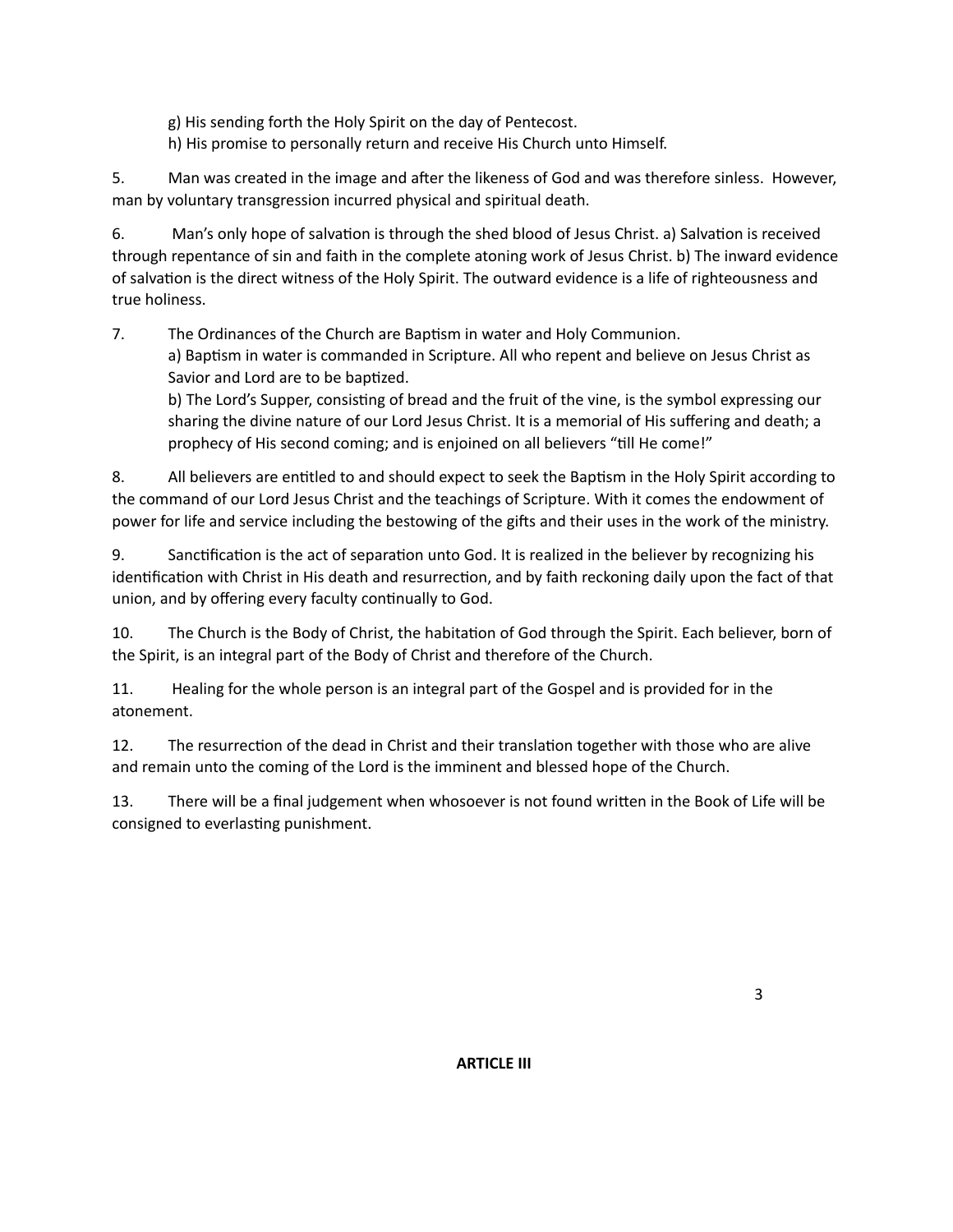g) His sending forth the Holy Spirit on the day of Pentecost.

h) His promise to personally return and receive His Church unto Himself.

5. Man was created in the image and after the likeness of God and was therefore sinless. However, man by voluntary transgression incurred physical and spiritual death.

6. Man's only hope of salvation is through the shed blood of Jesus Christ. a) Salvation is received through repentance of sin and faith in the complete atoning work of Jesus Christ. b) The inward evidence of salvation is the direct witness of the Holy Spirit. The outward evidence is a life of righteousness and true holiness.

7. The Ordinances of the Church are Baptism in water and Holy Communion.

a) Baptism in water is commanded in Scripture. All who repent and believe on Jesus Christ as Savior and Lord are to be baptized.

b) The Lord's Supper, consisting of bread and the fruit of the vine, is the symbol expressing our sharing the divine nature of our Lord Jesus Christ. It is a memorial of His suffering and death; a prophecy of His second coming; and is enjoined on all believers "till He come!"

8. All believers are entitled to and should expect to seek the Baptism in the Holy Spirit according to the command of our Lord Jesus Christ and the teachings of Scripture. With it comes the endowment of power for life and service including the bestowing of the gifts and their uses in the work of the ministry.

9. Sanctification is the act of separation unto God. It is realized in the believer by recognizing his identification with Christ in His death and resurrection, and by faith reckoning daily upon the fact of that union, and by offering every faculty continually to God.

10. The Church is the Body of Christ, the habitation of God through the Spirit. Each believer, born of the Spirit, is an integral part of the Body of Christ and therefore of the Church.

11. Healing for the whole person is an integral part of the Gospel and is provided for in the atonement. 

12. The resurrection of the dead in Christ and their translation together with those who are alive and remain unto the coming of the Lord is the imminent and blessed hope of the Church.

13. There will be a final judgement when whosoever is not found written in the Book of Life will be consigned to everlasting punishment.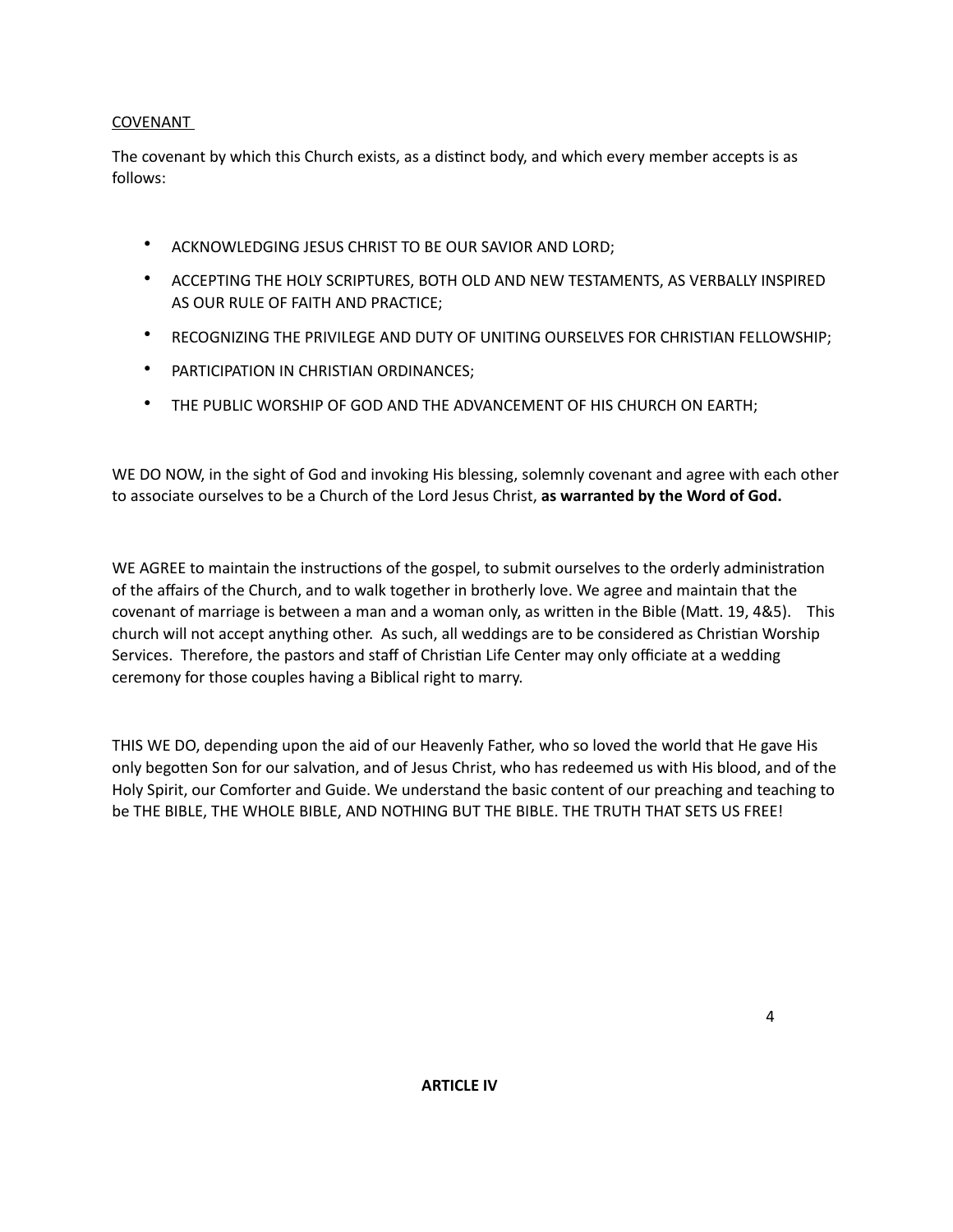## COVENANT

The covenant by which this Church exists, as a distinct body, and which every member accepts is as follows: 

- ACKNOWLEDGING JESUS CHRIST TO BE OUR SAVIOR AND LORD;
- ACCEPTING THE HOLY SCRIPTURES, BOTH OLD AND NEW TESTAMENTS, AS VERBALLY INSPIRED AS OUR RULE OF FAITH AND PRACTICE;
- RECOGNIZING THE PRIVILEGE AND DUTY OF UNITING OURSELVES FOR CHRISTIAN FELLOWSHIP;
- PARTICIPATION IN CHRISTIAN ORDINANCES;
- THE PUBLIC WORSHIP OF GOD AND THE ADVANCEMENT OF HIS CHURCH ON EARTH;

WE DO NOW, in the sight of God and invoking His blessing, solemnly covenant and agree with each other to associate ourselves to be a Church of the Lord Jesus Christ, as warranted by the Word of God.

WE AGREE to maintain the instructions of the gospel, to submit ourselves to the orderly administration of the affairs of the Church, and to walk together in brotherly love. We agree and maintain that the covenant of marriage is between a man and a woman only, as written in the Bible (Matt. 19, 4&5). This church will not accept anything other. As such, all weddings are to be considered as Christian Worship Services. Therefore, the pastors and staff of Christian Life Center may only officiate at a wedding ceremony for those couples having a Biblical right to marry.

THIS WE DO, depending upon the aid of our Heavenly Father, who so loved the world that He gave His only begotten Son for our salvation, and of Jesus Christ, who has redeemed us with His blood, and of the Holy Spirit, our Comforter and Guide. We understand the basic content of our preaching and teaching to be THE BIBLE, THE WHOLE BIBLE, AND NOTHING BUT THE BIBLE. THE TRUTH THAT SETS US FREE!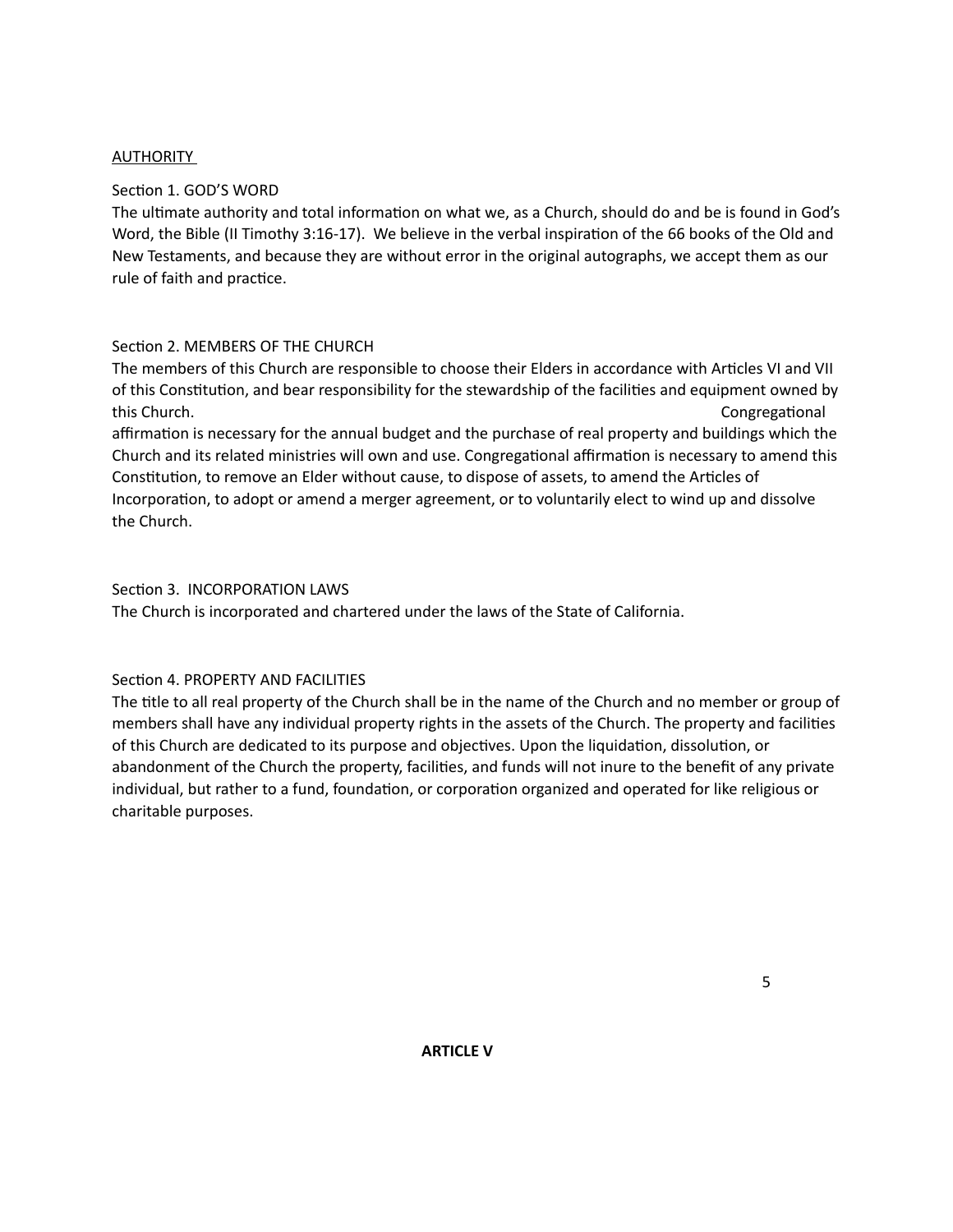### AUTHORITY

### Section 1. GOD'S WORD

The ultimate authority and total information on what we, as a Church, should do and be is found in God's Word, the Bible (II Timothy 3:16-17). We believe in the verbal inspiration of the 66 books of the Old and New Testaments, and because they are without error in the original autographs, we accept them as our rule of faith and practice.

## Section 2. MEMBERS OF THE CHURCH

The members of this Church are responsible to choose their Elders in accordance with Articles VI and VII of this Constitution, and bear responsibility for the stewardship of the facilities and equipment owned by this Church.

affirmation is necessary for the annual budget and the purchase of real property and buildings which the Church and its related ministries will own and use. Congregational affirmation is necessary to amend this Constitution, to remove an Elder without cause, to dispose of assets, to amend the Articles of Incorporation, to adopt or amend a merger agreement, or to voluntarily elect to wind up and dissolve the Church.

## Section 3. INCORPORATION LAWS

The Church is incorporated and chartered under the laws of the State of California.

# Section 4. PROPERTY AND FACILITIES

The title to all real property of the Church shall be in the name of the Church and no member or group of members shall have any individual property rights in the assets of the Church. The property and facilities of this Church are dedicated to its purpose and objectives. Upon the liquidation, dissolution, or abandonment of the Church the property, facilities, and funds will not inure to the benefit of any private individual, but rather to a fund, foundation, or corporation organized and operated for like religious or charitable purposes.

 $\sim$  5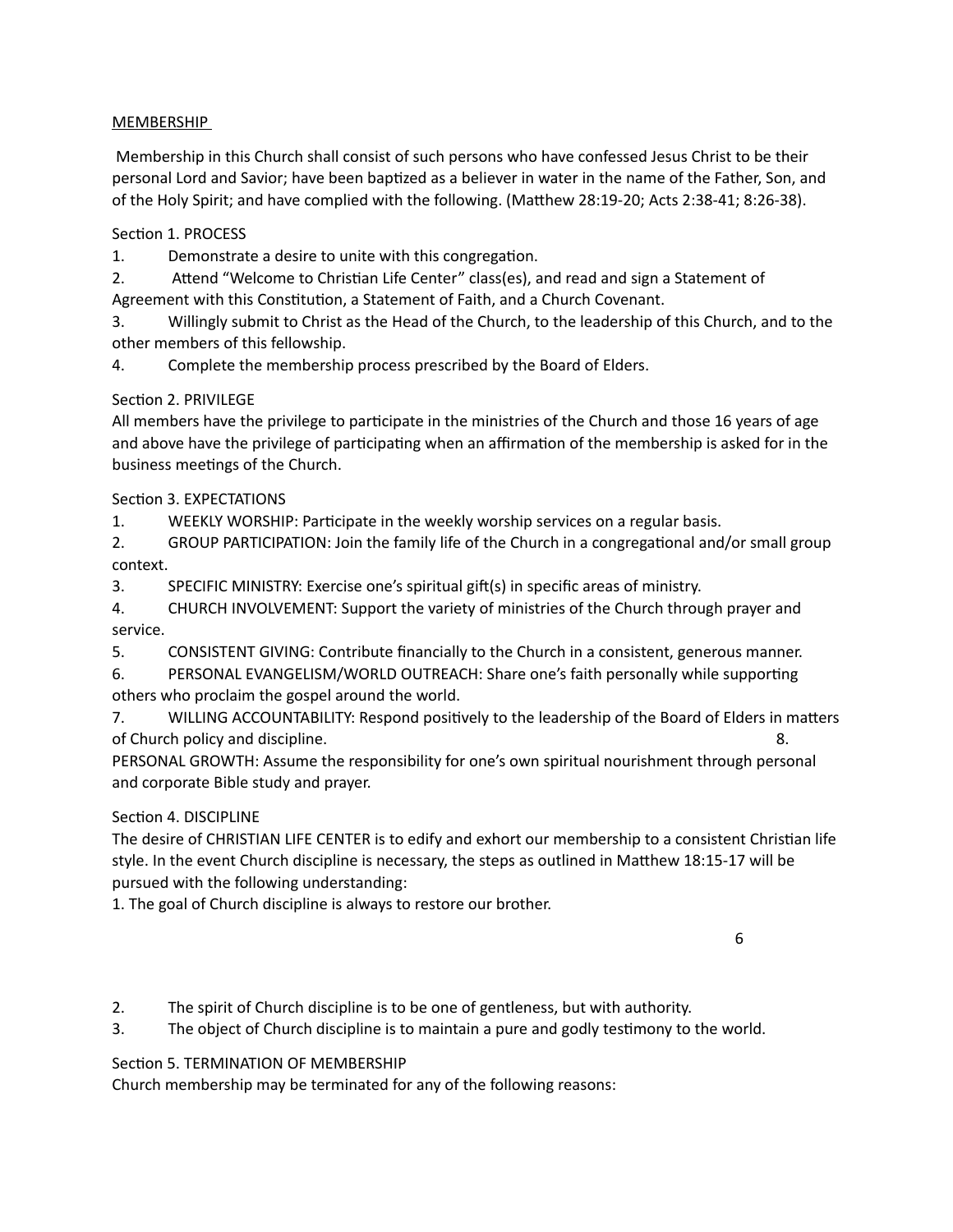## MEMBERSHIP

Membership in this Church shall consist of such persons who have confessed Jesus Christ to be their personal Lord and Savior; have been baptized as a believer in water in the name of the Father, Son, and of the Holy Spirit; and have complied with the following. (Matthew 28:19-20; Acts 2:38-41; 8:26-38).

Section 1. PROCESS

1. Demonstrate a desire to unite with this congregation.

2. Attend "Welcome to Christian Life Center" class(es), and read and sign a Statement of

Agreement with this Constitution, a Statement of Faith, and a Church Covenant.

3. Willingly submit to Christ as the Head of the Church, to the leadership of this Church, and to the other members of this fellowship.

4. Complete the membership process prescribed by the Board of Elders.

# Section 2. PRIVILEGE

All members have the privilege to participate in the ministries of the Church and those 16 years of age and above have the privilege of participating when an affirmation of the membership is asked for in the business meetings of the Church.

# Section 3. EXPECTATIONS

1. WEEKLY WORSHIP: Participate in the weekly worship services on a regular basis.

2. GROUP PARTICIPATION: Join the family life of the Church in a congregational and/or small group context.

3. SPECIFIC MINISTRY: Exercise one's spiritual gift(s) in specific areas of ministry.

4. CHURCH INVOLVEMENT: Support the variety of ministries of the Church through prayer and service. The contract of the contract of the contract of the contract of the contract of the contract of the contract of the contract of the contract of the contract of the contract of the contract of the contract of the c

5. CONSISTENT GIVING: Contribute financially to the Church in a consistent, generous manner.

6. PERSONAL EVANGELISM/WORLD OUTREACH: Share one's faith personally while supporting others who proclaim the gospel around the world.

7. WILLING ACCOUNTABILITY: Respond positively to the leadership of the Board of Elders in matters of Church policy and discipline.  $\blacksquare$  and the solution of Church policy and discipline.

PERSONAL GROWTH: Assume the responsibility for one's own spiritual nourishment through personal and corporate Bible study and prayer.

# Section 4. DISCIPLINE

The desire of CHRISTIAN LIFE CENTER is to edify and exhort our membership to a consistent Christian life style. In the event Church discipline is necessary, the steps as outlined in Matthew 18:15-17 will be pursued with the following understanding:

1. The goal of Church discipline is always to restore our brother.

 6 

- 2. The spirit of Church discipline is to be one of gentleness, but with authority.
- 3. The object of Church discipline is to maintain a pure and godly testimony to the world.

# Section 5. TERMINATION OF MEMBERSHIP

Church membership may be terminated for any of the following reasons: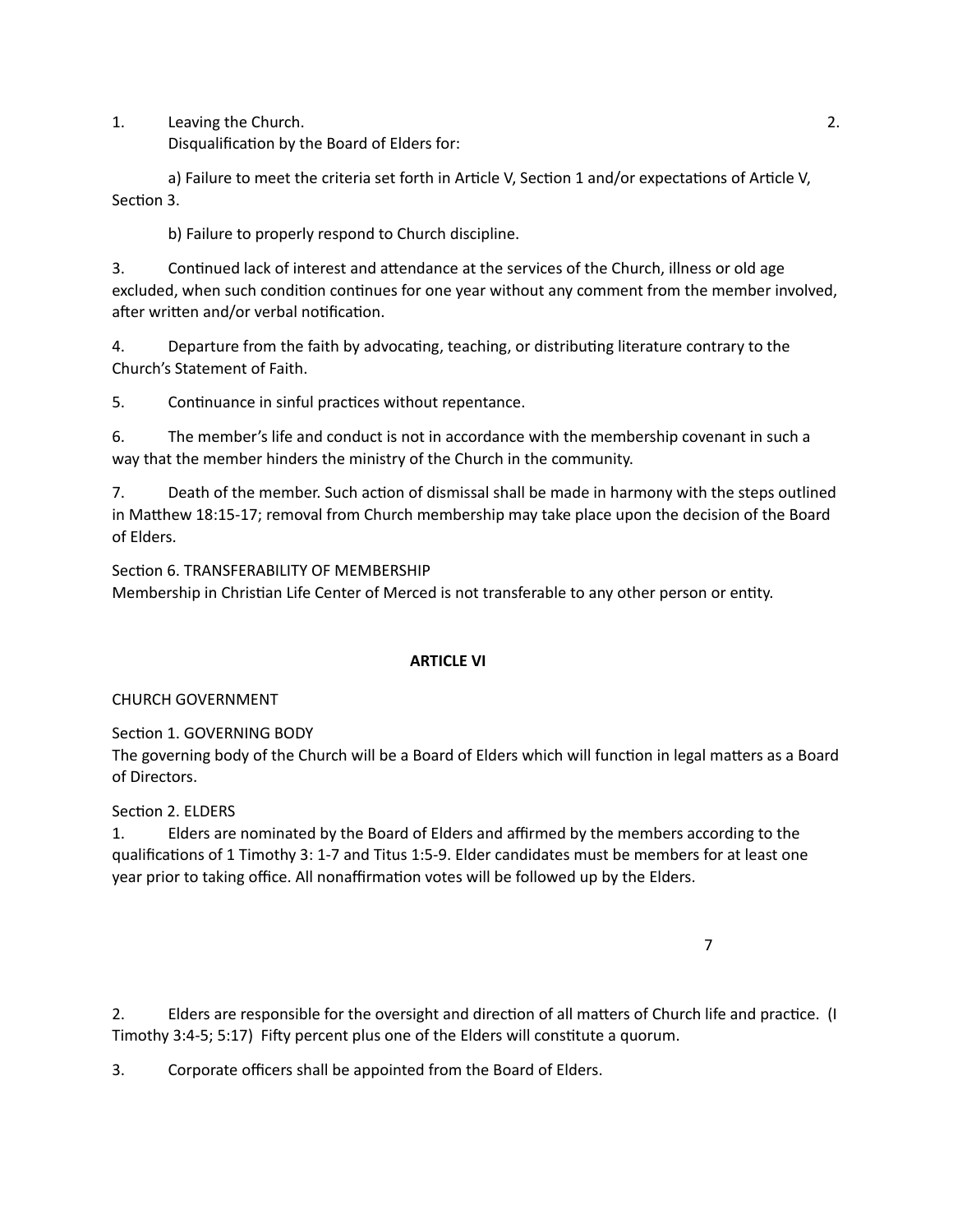1. Leaving the Church.  $\frac{1}{10}$  and  $\frac{1}{10}$  and  $\frac{1}{10}$  and  $\frac{1}{10}$  and  $\frac{1}{10}$  and  $\frac{1}{10}$  and  $\frac{1}{10}$  and  $\frac{1}{10}$  and  $\frac{1}{10}$  and  $\frac{1}{10}$  and  $\frac{1}{10}$  and  $\frac{1}{10}$  and  $\frac{1}{10}$  and  $\frac$ 

Disqualification by the Board of Elders for:

a) Failure to meet the criteria set forth in Article V, Section 1 and/or expectations of Article V, Section 3.

b) Failure to properly respond to Church discipline.

3. Continued lack of interest and attendance at the services of the Church, illness or old age excluded, when such condition continues for one year without any comment from the member involved, after written and/or verbal notification.

4. Departure from the faith by advocating, teaching, or distributing literature contrary to the Church's Statement of Faith.

5. Continuance in sinful practices without repentance.

6. The member's life and conduct is not in accordance with the membership covenant in such a way that the member hinders the ministry of the Church in the community.

7. Death of the member. Such action of dismissal shall be made in harmony with the steps outlined in Matthew 18:15-17; removal from Church membership may take place upon the decision of the Board of Elders.

Section 6. TRANSFERABILITY OF MEMBERSHIP Membership in Christian Life Center of Merced is not transferable to any other person or entity.

### **ARTICLE VI**

### CHURCH GOVERNMENT

Section 1. GOVERNING BODY

The governing body of the Church will be a Board of Elders which will function in legal matters as a Board of Directors.

### Section 2. ELDERS

1. Elders are nominated by the Board of Elders and affirmed by the members according to the qualifications of 1 Timothy 3: 1-7 and Titus 1:5-9. Elder candidates must be members for at least one year prior to taking office. All nonaffirmation votes will be followed up by the Elders.

 7 

2. Elders are responsible for the oversight and direction of all matters of Church life and practice. (I Timothy 3:4-5; 5:17) Fifty percent plus one of the Elders will constitute a quorum.

3. Corporate officers shall be appointed from the Board of Elders.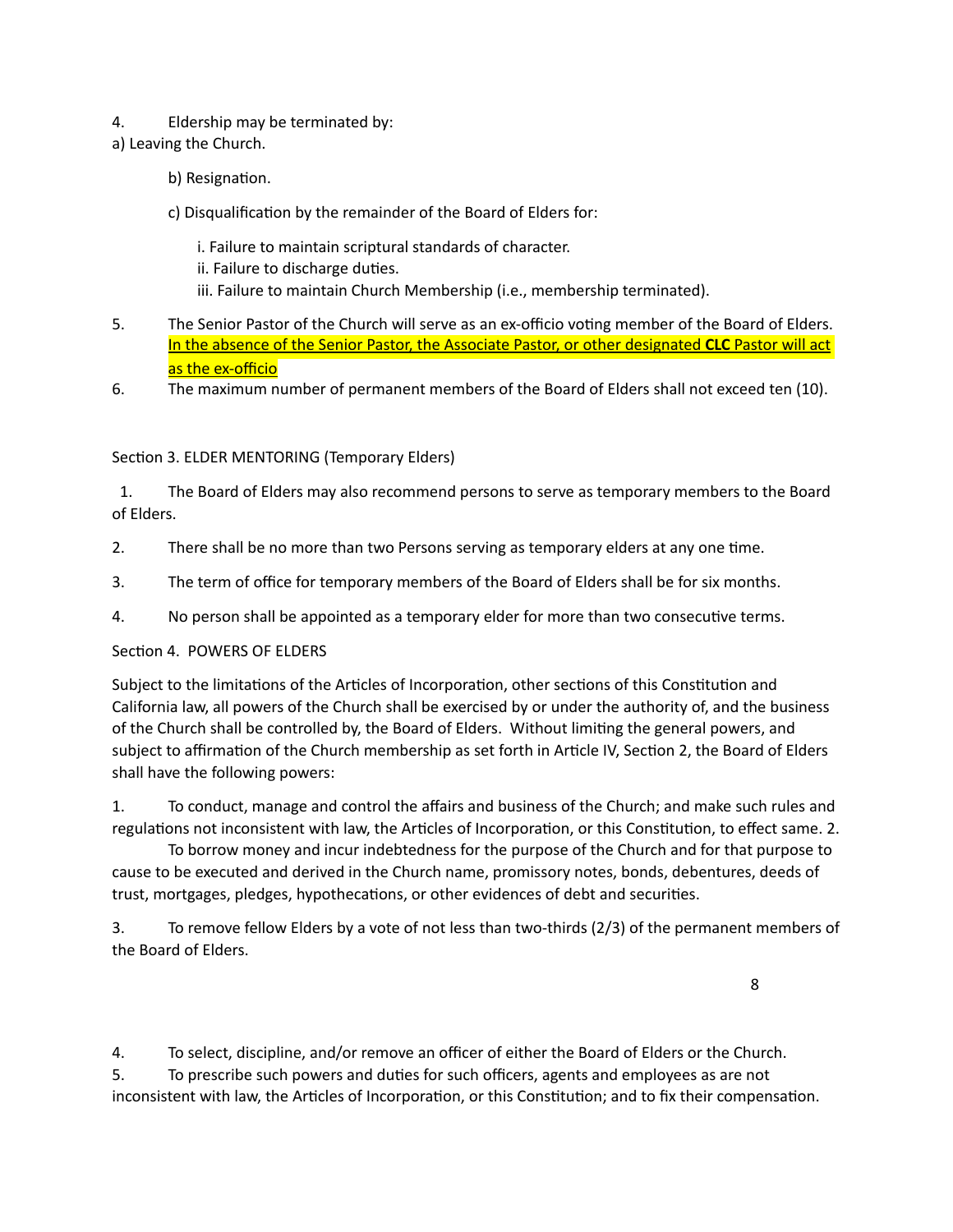- 4. Eldership may be terminated by:
- a) Leaving the Church.
	- b) Resignation.
	- c) Disqualification by the remainder of the Board of Elders for:
		- i. Failure to maintain scriptural standards of character.
		- ii. Failure to discharge duties.
		- iii. Failure to maintain Church Membership (i.e., membership terminated).
- 5. The Senior Pastor of the Church will serve as an ex-officio voting member of the Board of Elders. In the absence of the Senior Pastor, the Associate Pastor, or other designated CLC Pastor will act as the ex-officio
- 6. The maximum number of permanent members of the Board of Elders shall not exceed ten (10).

### Section 3. ELDER MENTORING (Temporary Elders)

1. The Board of Elders may also recommend persons to serve as temporary members to the Board of Elders.

- 2. There shall be no more than two Persons serving as temporary elders at any one time.
- 3. The term of office for temporary members of the Board of Elders shall be for six months.
- 4. No person shall be appointed as a temporary elder for more than two consecutive terms.

### Section 4. POWERS OF ELDERS

Subject to the limitations of the Articles of Incorporation, other sections of this Constitution and California law, all powers of the Church shall be exercised by or under the authority of, and the business of the Church shall be controlled by, the Board of Elders. Without limiting the general powers, and subject to affirmation of the Church membership as set forth in Article IV, Section 2, the Board of Elders shall have the following powers:

1. To conduct, manage and control the affairs and business of the Church; and make such rules and regulations not inconsistent with law, the Articles of Incorporation, or this Constitution, to effect same. 2.

To borrow money and incur indebtedness for the purpose of the Church and for that purpose to cause to be executed and derived in the Church name, promissory notes, bonds, debentures, deeds of trust, mortgages, pledges, hypothecations, or other evidences of debt and securities.

3. To remove fellow Elders by a vote of not less than two-thirds (2/3) of the permanent members of the Board of Elders.

 8 

4. To select, discipline, and/or remove an officer of either the Board of Elders or the Church.

5. To prescribe such powers and duties for such officers, agents and employees as are not inconsistent with law, the Articles of Incorporation, or this Constitution; and to fix their compensation.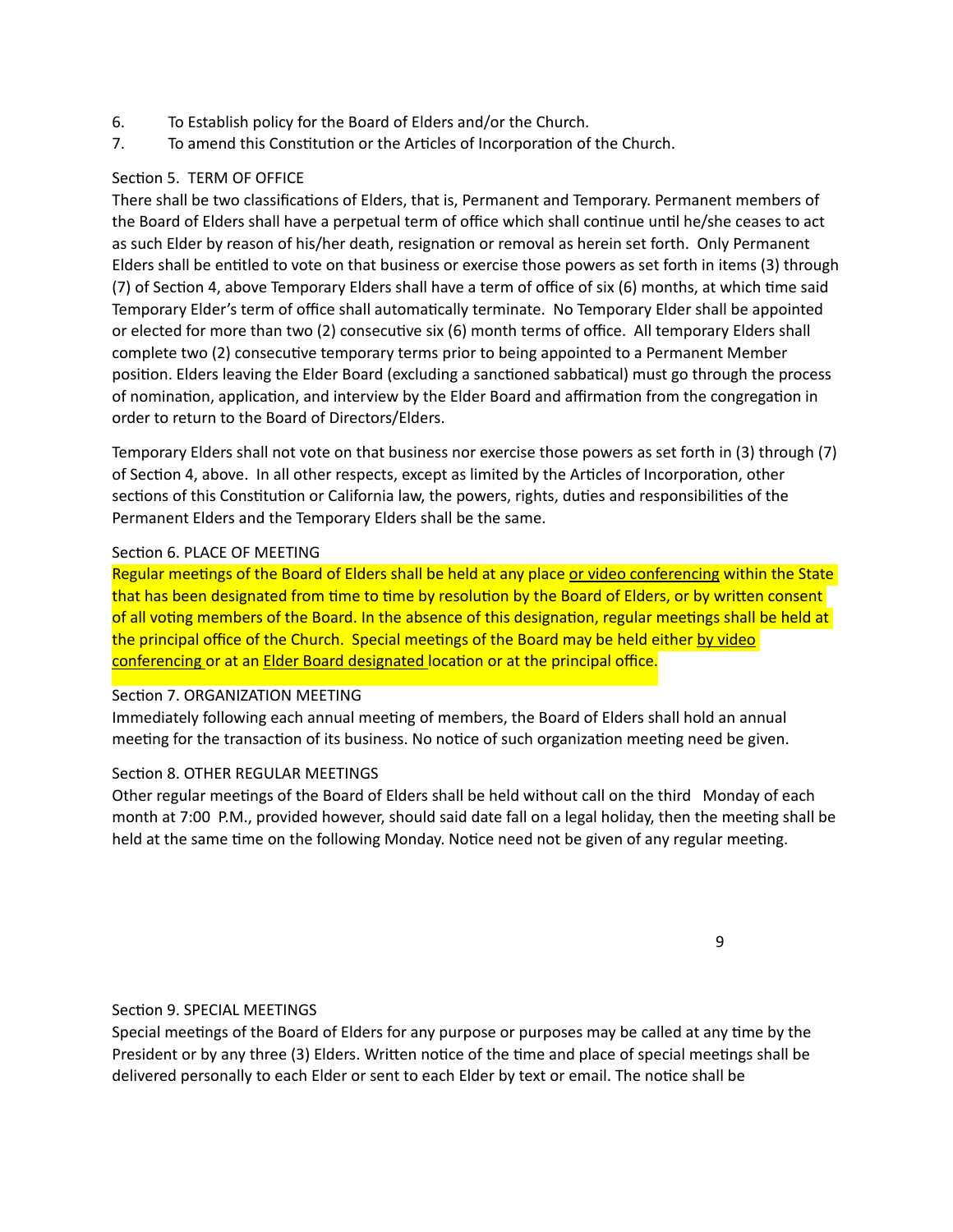- 6. To Establish policy for the Board of Elders and/or the Church.
- 7. To amend this Constitution or the Articles of Incorporation of the Church.

## Section 5. TERM OF OFFICE

There shall be two classifications of Elders, that is, Permanent and Temporary. Permanent members of the Board of Elders shall have a perpetual term of office which shall continue until he/she ceases to act as such Elder by reason of his/her death, resignation or removal as herein set forth. Only Permanent Elders shall be entitled to vote on that business or exercise those powers as set forth in items (3) through (7) of Section 4, above Temporary Elders shall have a term of office of six (6) months, at which time said Temporary Elder's term of office shall automatically terminate. No Temporary Elder shall be appointed or elected for more than two (2) consecutive six (6) month terms of office. All temporary Elders shall complete two (2) consecutive temporary terms prior to being appointed to a Permanent Member position. Elders leaving the Elder Board (excluding a sanctioned sabbatical) must go through the process of nomination, application, and interview by the Elder Board and affirmation from the congregation in order to return to the Board of Directors/Elders.

Temporary Elders shall not vote on that business nor exercise those powers as set forth in (3) through (7) of Section 4, above. In all other respects, except as limited by the Articles of Incorporation, other sections of this Constitution or California law, the powers, rights, duties and responsibilities of the Permanent Elders and the Temporary Elders shall be the same.

### Section 6. PLACE OF MEETING

Regular meetings of the Board of Elders shall be held at any place or video conferencing within the State that has been designated from time to time by resolution by the Board of Elders, or by written consent of all voting members of the Board. In the absence of this designation, regular meetings shall be held at the principal office of the Church. Special meetings of the Board may be held either by video conferencing or at an Elder Board designated location or at the principal office.

### Section 7. ORGANIZATION MEETING

Immediately following each annual meeting of members, the Board of Elders shall hold an annual meeting for the transaction of its business. No notice of such organization meeting need be given.

# Section 8. OTHER REGULAR MEETINGS

Other regular meetings of the Board of Elders shall be held without call on the third Monday of each month at 7:00 P.M., provided however, should said date fall on a legal holiday, then the meeting shall be held at the same time on the following Monday. Notice need not be given of any regular meeting.

 9 

# Section 9. SPECIAL MEETINGS

Special meetings of the Board of Elders for any purpose or purposes may be called at any time by the President or by any three (3) Elders. Written notice of the time and place of special meetings shall be delivered personally to each Elder or sent to each Elder by text or email. The notice shall be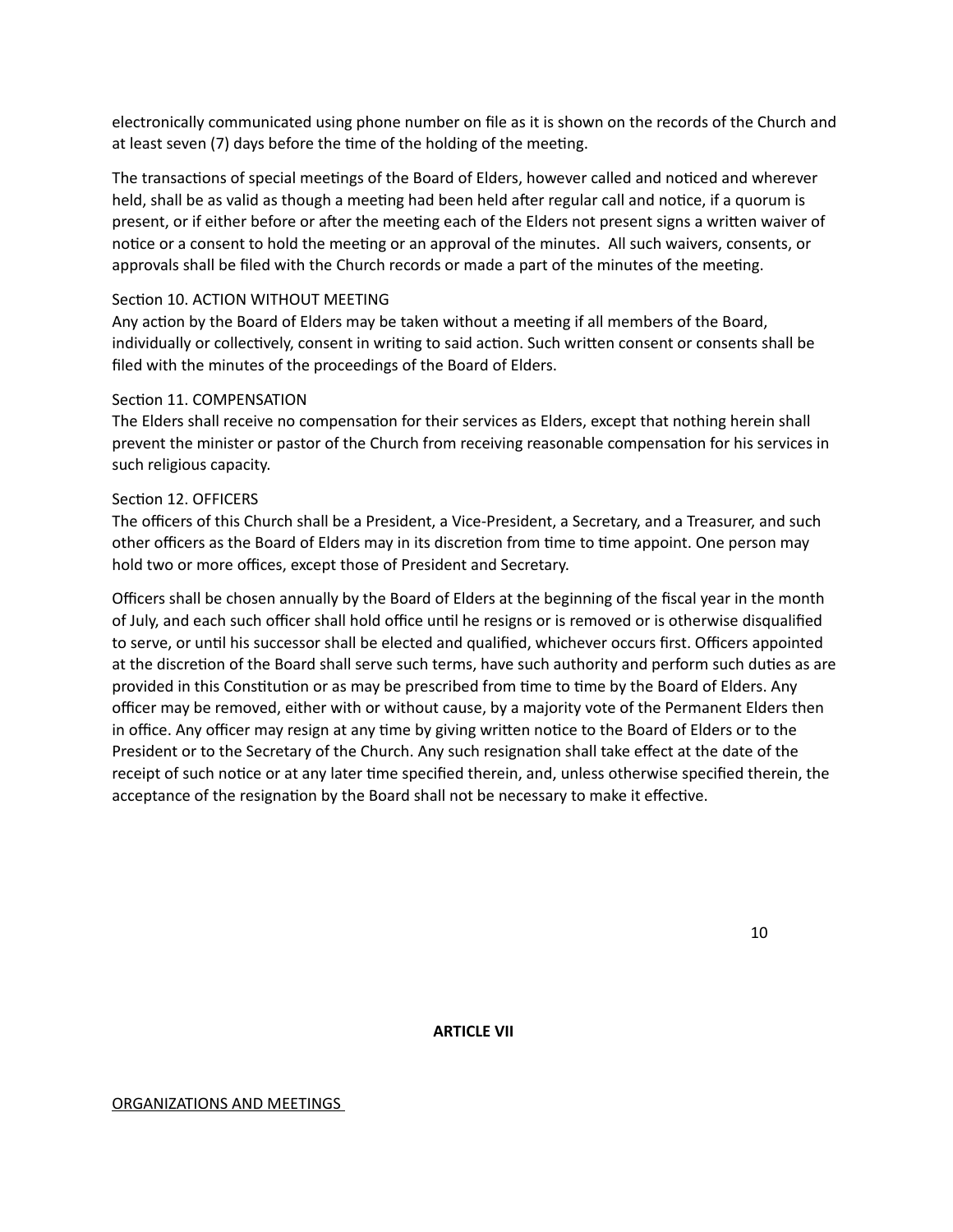electronically communicated using phone number on file as it is shown on the records of the Church and at least seven (7) days before the time of the holding of the meeting.

The transactions of special meetings of the Board of Elders, however called and noticed and wherever held, shall be as valid as though a meeting had been held after regular call and notice, if a quorum is present, or if either before or after the meeting each of the Elders not present signs a written waiver of notice or a consent to hold the meeting or an approval of the minutes. All such waivers, consents, or approvals shall be filed with the Church records or made a part of the minutes of the meeting.

### Section 10. ACTION WITHOUT MEETING

Any action by the Board of Elders may be taken without a meeting if all members of the Board, individually or collectively, consent in writing to said action. Such written consent or consents shall be filed with the minutes of the proceedings of the Board of Elders.

### Section 11. COMPENSATION

The Elders shall receive no compensation for their services as Elders, except that nothing herein shall prevent the minister or pastor of the Church from receiving reasonable compensation for his services in such religious capacity.

### Section 12. OFFICERS

The officers of this Church shall be a President, a Vice-President, a Secretary, and a Treasurer, and such other officers as the Board of Elders may in its discretion from time to time appoint. One person may hold two or more offices, except those of President and Secretary.

Officers shall be chosen annually by the Board of Elders at the beginning of the fiscal year in the month of July, and each such officer shall hold office until he resigns or is removed or is otherwise disqualified to serve, or until his successor shall be elected and qualified, whichever occurs first. Officers appointed at the discretion of the Board shall serve such terms, have such authority and perform such duties as are provided in this Constitution or as may be prescribed from time to time by the Board of Elders. Any officer may be removed, either with or without cause, by a majority vote of the Permanent Elders then in office. Any officer may resign at any time by giving written notice to the Board of Elders or to the President or to the Secretary of the Church. Any such resignation shall take effect at the date of the receipt of such notice or at any later time specified therein, and, unless otherwise specified therein, the acceptance of the resignation by the Board shall not be necessary to make it effective.

 10 

### **ARTICLE VII**

#### ORGANIZATIONS AND MEETINGS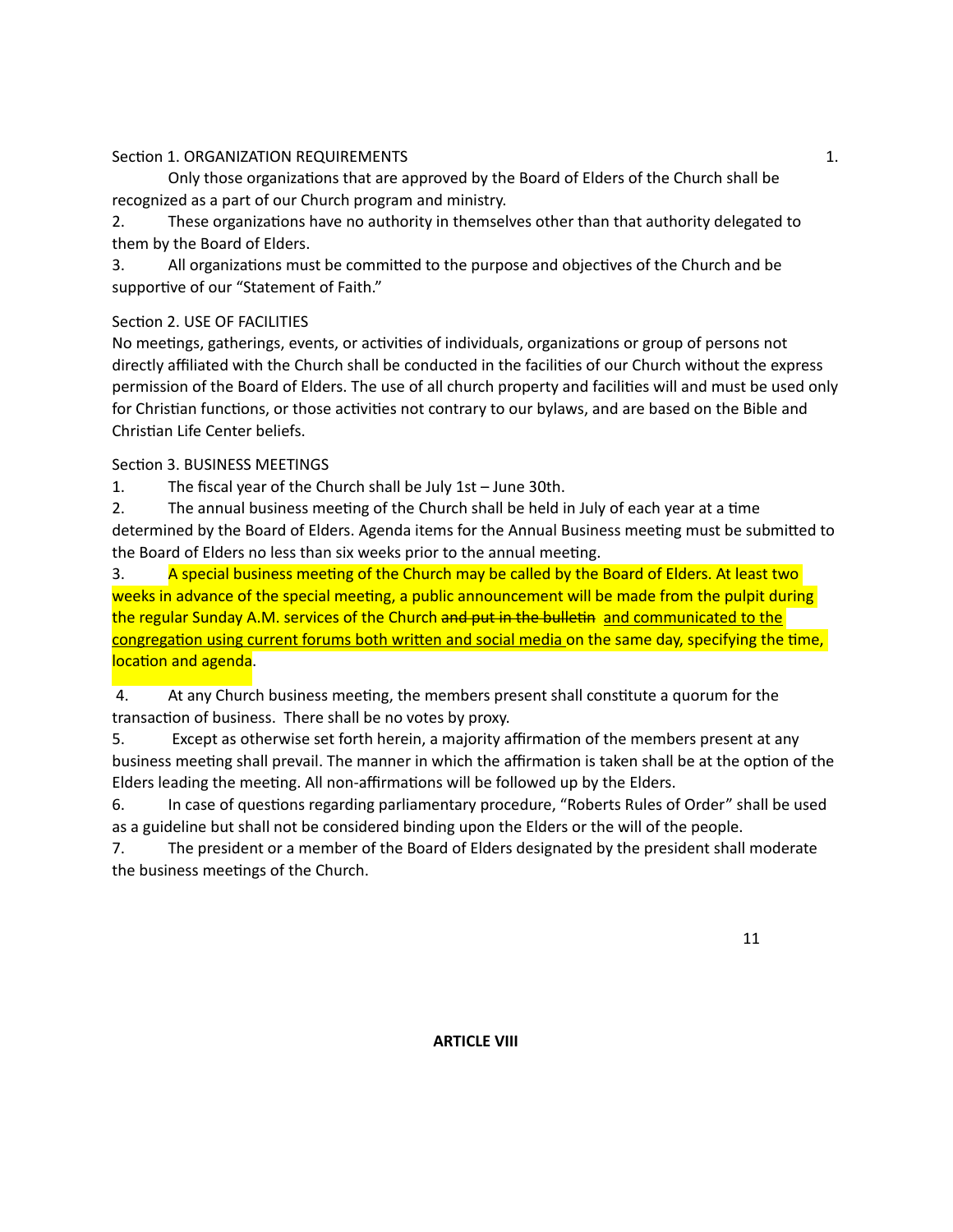## SecPon 1. ORGANIZATION REQUIREMENTS 1.

Only those organizations that are approved by the Board of Elders of the Church shall be recognized as a part of our Church program and ministry.

2. These organizations have no authority in themselves other than that authority delegated to them by the Board of Elders.

3. All organizations must be committed to the purpose and objectives of the Church and be supportive of our "Statement of Faith."

# Section 2. USE OF FACILITIES

No meetings, gatherings, events, or activities of individuals, organizations or group of persons not directly affiliated with the Church shall be conducted in the facilities of our Church without the express permission of the Board of Elders. The use of all church property and facilities will and must be used only for Christian functions, or those activities not contrary to our bylaws, and are based on the Bible and Christian Life Center beliefs.

# Section 3. BUSINESS MEETINGS

1. The fiscal year of the Church shall be July  $1st - June 30th$ .

2. The annual business meeting of the Church shall be held in July of each year at a time determined by the Board of Elders. Agenda items for the Annual Business meeting must be submitted to the Board of Elders no less than six weeks prior to the annual meeting.

3. A special business meeting of the Church may be called by the Board of Elders. At least two weeks in advance of the special meeting, a public announcement will be made from the pulpit during the regular Sunday A.M. services of the Church and put in the bulletin and communicated to the congregation using current forums both written and social media on the same day, specifying the time, location and agenda.

4. At any Church business meeting, the members present shall constitute a quorum for the transaction of business. There shall be no votes by proxy.

5. Except as otherwise set forth herein, a majority affirmation of the members present at any business meeting shall prevail. The manner in which the affirmation is taken shall be at the option of the Elders leading the meeting. All non-affirmations will be followed up by the Elders.

6. In case of questions regarding parliamentary procedure, "Roberts Rules of Order" shall be used as a guideline but shall not be considered binding upon the Elders or the will of the people.

7. The president or a member of the Board of Elders designated by the president shall moderate the business meetings of the Church.

 11 

# **ARTICLE VIII**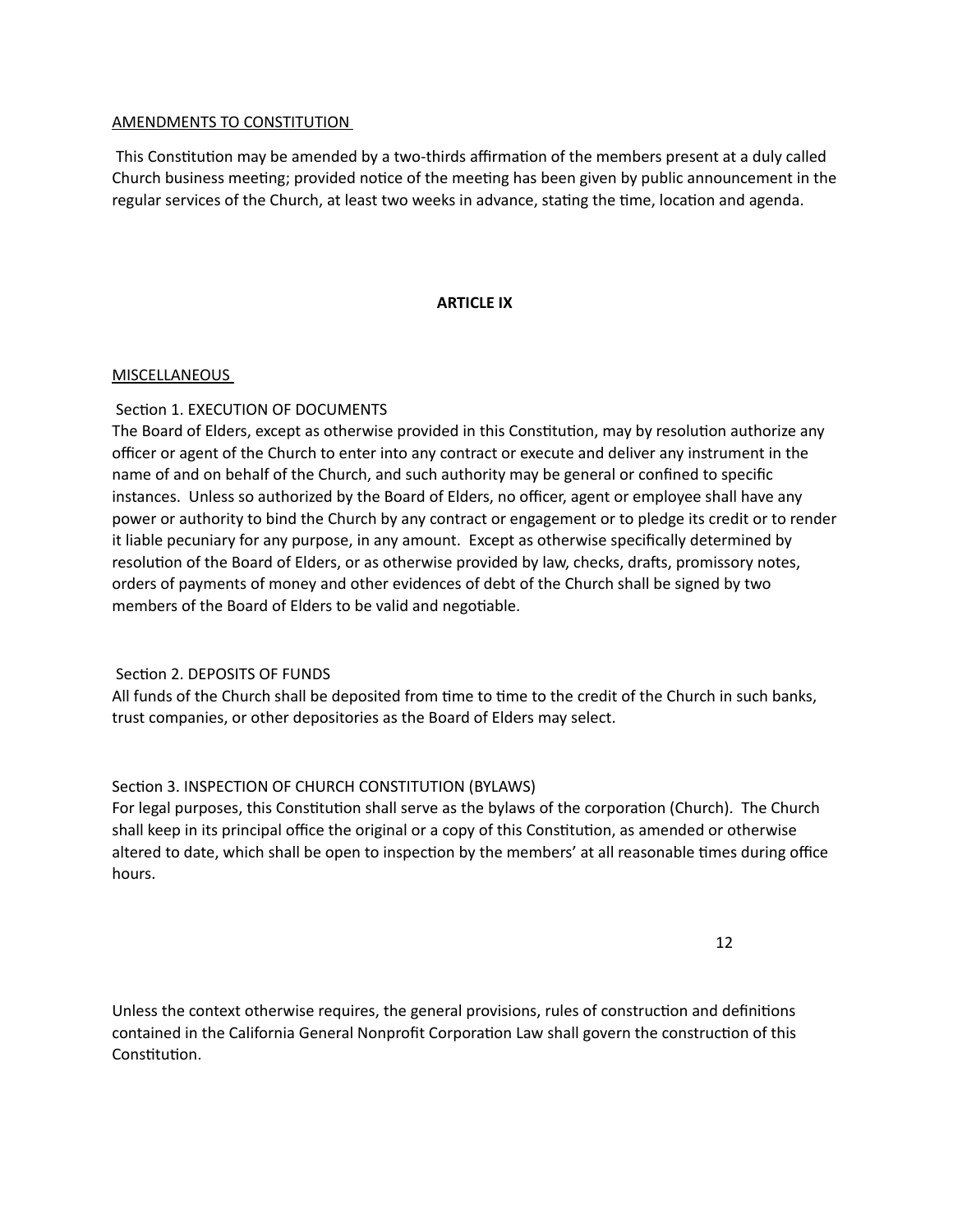### AMENDMENTS TO CONSTITUTION

This Constitution may be amended by a two-thirds affirmation of the members present at a duly called Church business meeting; provided notice of the meeting has been given by public announcement in the regular services of the Church, at least two weeks in advance, stating the time, location and agenda.

### **ARTICLE IX**

### MISCELLANEOUS

## Section 1. EXECUTION OF DOCUMENTS

The Board of Elders, except as otherwise provided in this Constitution, may by resolution authorize any officer or agent of the Church to enter into any contract or execute and deliver any instrument in the name of and on behalf of the Church, and such authority may be general or confined to specific instances. Unless so authorized by the Board of Elders, no officer, agent or employee shall have any power or authority to bind the Church by any contract or engagement or to pledge its credit or to render it liable pecuniary for any purpose, in any amount. Except as otherwise specifically determined by resolution of the Board of Elders, or as otherwise provided by law, checks, drafts, promissory notes, orders of payments of money and other evidences of debt of the Church shall be signed by two members of the Board of Elders to be valid and negotiable.

### Section 2. DEPOSITS OF FUNDS

All funds of the Church shall be deposited from time to time to the credit of the Church in such banks, trust companies, or other depositories as the Board of Elders may select.

### Section 3. INSPECTION OF CHURCH CONSTITUTION (BYLAWS)

For legal purposes, this Constitution shall serve as the bylaws of the corporation (Church). The Church shall keep in its principal office the original or a copy of this Constitution, as amended or otherwise altered to date, which shall be open to inspection by the members' at all reasonable times during office hours. 

 12 

Unless the context otherwise requires, the general provisions, rules of construction and definitions contained in the California General Nonprofit Corporation Law shall govern the construction of this Constitution.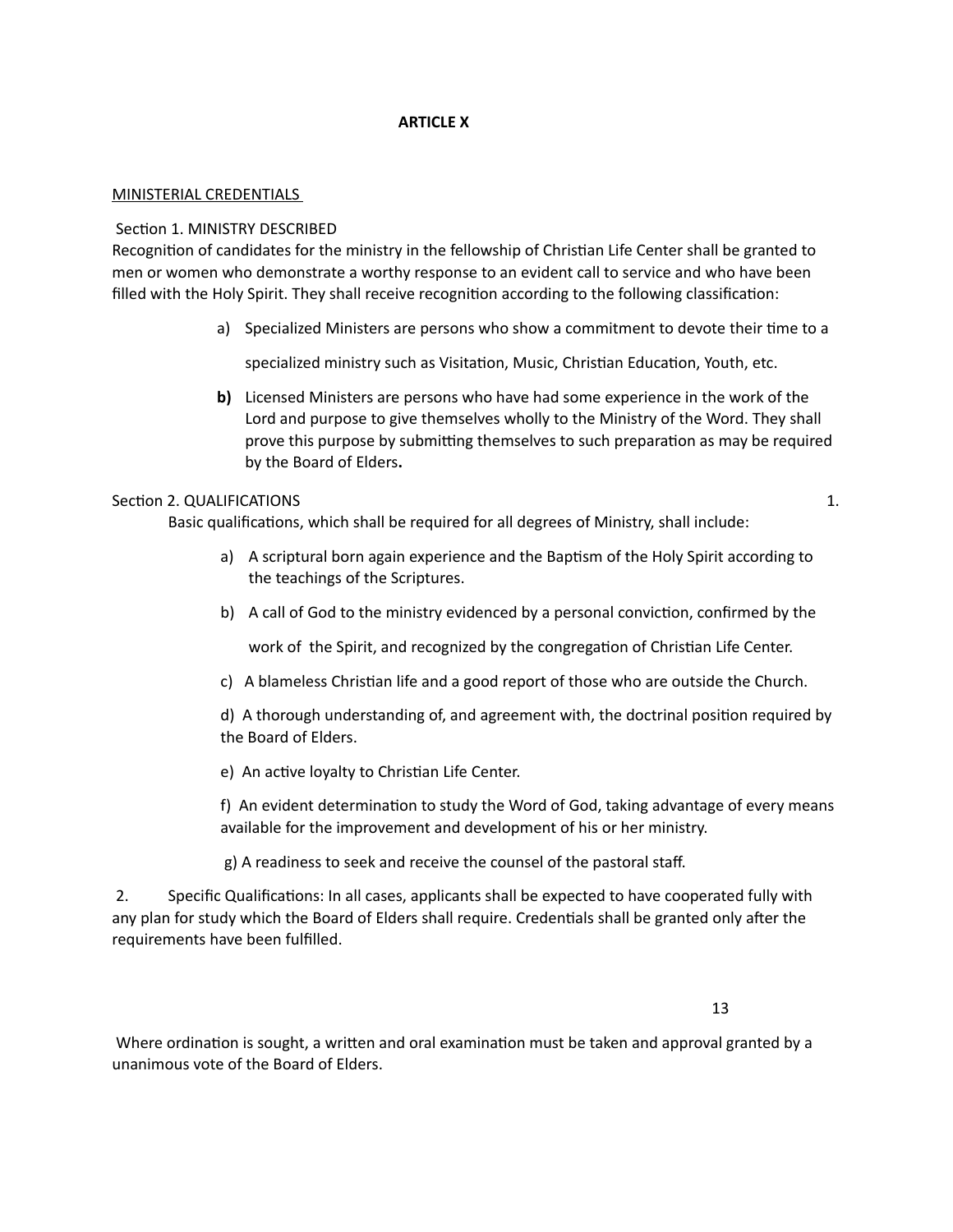### **ARTICLE X**

#### MINISTERIAL CREDENTIALS

#### Section 1. MINISTRY DESCRIBED

Recognition of candidates for the ministry in the fellowship of Christian Life Center shall be granted to men or women who demonstrate a worthy response to an evident call to service and who have been filled with the Holy Spirit. They shall receive recognition according to the following classification:

a) Specialized Ministers are persons who show a commitment to devote their time to a

specialized ministry such as Visitation, Music, Christian Education, Youth, etc.

**b)** Licensed Ministers are persons who have had some experience in the work of the Lord and purpose to give themselves wholly to the Ministry of the Word. They shall prove this purpose by submitting themselves to such preparation as may be required by the Board of Elders.

#### SecPon 2. QUALIFICATIONS 1.

Basic qualifications, which shall be required for all degrees of Ministry, shall include:

- a) A scriptural born again experience and the Baptism of the Holy Spirit according to the teachings of the Scriptures.
- b) A call of God to the ministry evidenced by a personal conviction, confirmed by the

work of the Spirit, and recognized by the congregation of Christian Life Center.

c) A blameless Christian life and a good report of those who are outside the Church.

d) A thorough understanding of, and agreement with, the doctrinal position required by the Board of Elders.

e) An active loyalty to Christian Life Center.

f) An evident determination to study the Word of God, taking advantage of every means available for the improvement and development of his or her ministry.

g) A readiness to seek and receive the counsel of the pastoral staff.

2. Specific Qualifications: In all cases, applicants shall be expected to have cooperated fully with any plan for study which the Board of Elders shall require. Credentials shall be granted only after the requirements have been fulfilled.

 13 

Where ordination is sought, a written and oral examination must be taken and approval granted by a unanimous vote of the Board of Elders.